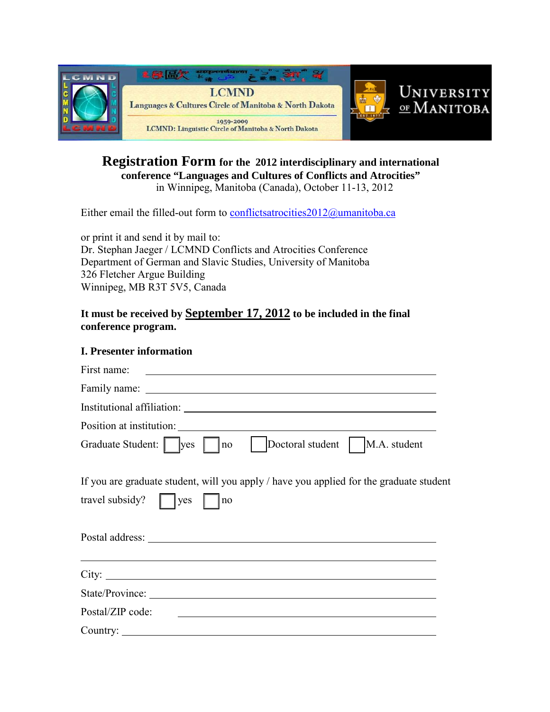

# **Registration Form for the 2012 interdisciplinary and international conference "Languages and Cultures of Conflicts and Atrocities"** in Winnipeg, Manitoba (Canada), October 11-13, 2012

Either email the filled-out form to conflictsatrocities  $2012@$ umanitoba.ca

or print it and send it by mail to: Dr. Stephan Jaeger / LCMND Conflicts and Atrocities Conference Department of German and Slavic Studies, University of Manitoba 326 Fletcher Argue Building Winnipeg, MB R3T 5V5, Canada

### **It must be received by September 17, 2012 to be included in the final conference program.**

#### **I. Presenter information**

| First name:<br><u> 1989 - Andrea Barbara, amerikan personal dan personal dan personal dan personal dan personal dan personal da</u>                                                                                            |
|--------------------------------------------------------------------------------------------------------------------------------------------------------------------------------------------------------------------------------|
|                                                                                                                                                                                                                                |
|                                                                                                                                                                                                                                |
|                                                                                                                                                                                                                                |
| Graduate Student: <u>ves</u> no<br>Doctoral student   M.A. student                                                                                                                                                             |
| If you are graduate student, will you apply / have you applied for the graduate student<br>travel subsidy? $\parallel$   yes<br>  no                                                                                           |
| Postal address: Note and the set of the set of the set of the set of the set of the set of the set of the set of the set of the set of the set of the set of the set of the set of the set of the set of the set of the set of |
| ,我们也不会有什么。""我们的人,我们也不会有什么?""我们的人,我们也不会有什么?""我们的人,我们也不会有什么?""我们的人,我们也不会有什么?""我们的人                                                                                                                                               |
| State/Province:                                                                                                                                                                                                                |
| Postal/ZIP code:<br><u> 2000 - Andrea Andrewski, amerikansk politik (d. 1982)</u>                                                                                                                                              |
| Country:                                                                                                                                                                                                                       |